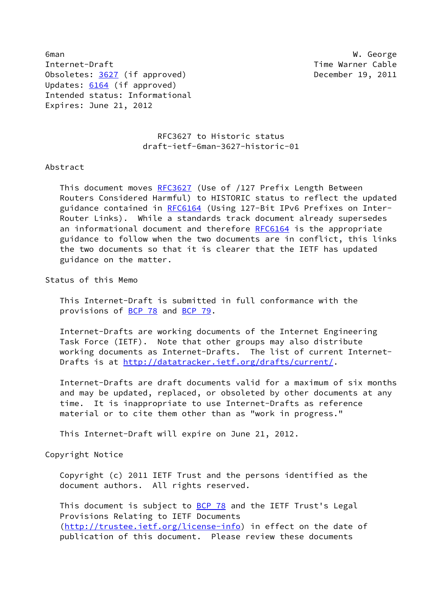6man W. George Internet-Draft Time Warner Cable Obsoletes: [3627](https://datatracker.ietf.org/doc/pdf/rfc3627) (if approved) December 19, 2011 Updates: [6164](https://datatracker.ietf.org/doc/pdf/rfc6164) (if approved) Intended status: Informational Expires: June 21, 2012

## RFC3627 to Historic status draft-ietf-6man-3627-historic-01

## Abstract

This document moves [RFC3627](https://datatracker.ietf.org/doc/pdf/rfc3627) (Use of /127 Prefix Length Between Routers Considered Harmful) to HISTORIC status to reflect the updated guidance contained in [RFC6164](https://datatracker.ietf.org/doc/pdf/rfc6164) (Using 127-Bit IPv6 Prefixes on Inter- Router Links). While a standards track document already supersedes an informational document and therefore [RFC6164](https://datatracker.ietf.org/doc/pdf/rfc6164) is the appropriate guidance to follow when the two documents are in conflict, this links the two documents so that it is clearer that the IETF has updated guidance on the matter.

Status of this Memo

 This Internet-Draft is submitted in full conformance with the provisions of [BCP 78](https://datatracker.ietf.org/doc/pdf/bcp78) and [BCP 79](https://datatracker.ietf.org/doc/pdf/bcp79).

 Internet-Drafts are working documents of the Internet Engineering Task Force (IETF). Note that other groups may also distribute working documents as Internet-Drafts. The list of current Internet- Drafts is at<http://datatracker.ietf.org/drafts/current/>.

 Internet-Drafts are draft documents valid for a maximum of six months and may be updated, replaced, or obsoleted by other documents at any time. It is inappropriate to use Internet-Drafts as reference material or to cite them other than as "work in progress."

This Internet-Draft will expire on June 21, 2012.

Copyright Notice

 Copyright (c) 2011 IETF Trust and the persons identified as the document authors. All rights reserved.

This document is subject to **[BCP 78](https://datatracker.ietf.org/doc/pdf/bcp78)** and the IETF Trust's Legal Provisions Relating to IETF Documents [\(http://trustee.ietf.org/license-info](http://trustee.ietf.org/license-info)) in effect on the date of publication of this document. Please review these documents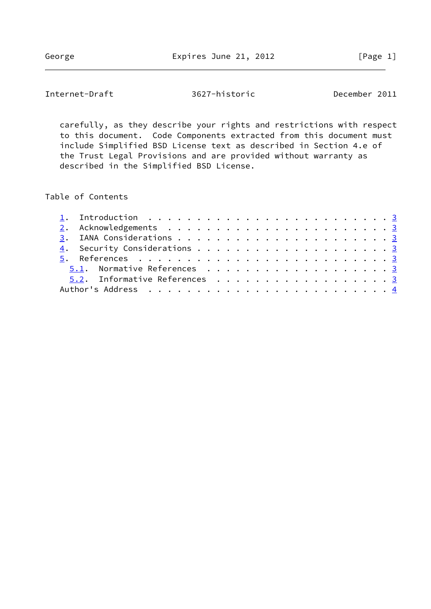Internet-Draft 3627-historic December 2011

 carefully, as they describe your rights and restrictions with respect to this document. Code Components extracted from this document must include Simplified BSD License text as described in Section 4.e of the Trust Legal Provisions and are provided without warranty as described in the Simplified BSD License.

Table of Contents

|  | 5.1. Normative References 3   |
|--|-------------------------------|
|  | 5.2. Informative References 3 |
|  |                               |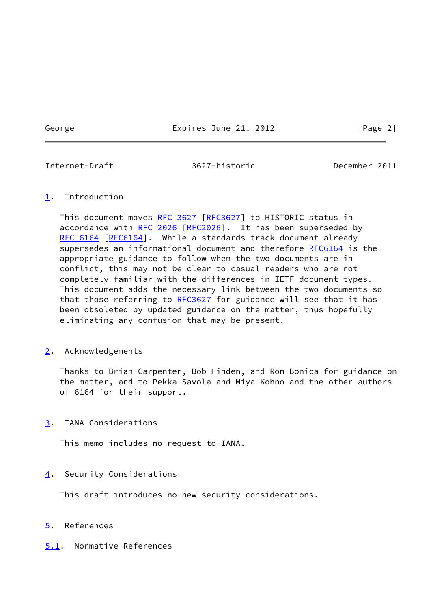George **Expires June 21, 2012** [Page 2]

<span id="page-2-1"></span>Internet-Draft 3627-historic December 2011

## <span id="page-2-0"></span>[1](#page-2-0). Introduction

This document moves [RFC 3627 \[RFC3627](https://datatracker.ietf.org/doc/pdf/rfc3627)] to HISTORIC status in accordance with [RFC 2026](https://datatracker.ietf.org/doc/pdf/rfc2026) [\[RFC2026](https://datatracker.ietf.org/doc/pdf/rfc2026)]. It has been superseded by [RFC 6164](https://datatracker.ietf.org/doc/pdf/rfc6164) [\[RFC6164](https://datatracker.ietf.org/doc/pdf/rfc6164)]. While a standards track document already supersedes an informational document and therefore [RFC6164](https://datatracker.ietf.org/doc/pdf/rfc6164) is the appropriate guidance to follow when the two documents are in conflict, this may not be clear to casual readers who are not completely familiar with the differences in IETF document types. This document adds the necessary link between the two documents so that those referring to [RFC3627](https://datatracker.ietf.org/doc/pdf/rfc3627) for guidance will see that it has been obsoleted by updated guidance on the matter, thus hopefully eliminating any confusion that may be present.

<span id="page-2-2"></span>[2](#page-2-2). Acknowledgements

 Thanks to Brian Carpenter, Bob Hinden, and Ron Bonica for guidance on the matter, and to Pekka Savola and Miya Kohno and the other authors of 6164 for their support.

<span id="page-2-3"></span>[3](#page-2-3). IANA Considerations

This memo includes no request to IANA.

<span id="page-2-4"></span>[4](#page-2-4). Security Considerations

This draft introduces no new security considerations.

- <span id="page-2-5"></span>[5](#page-2-5). References
- <span id="page-2-6"></span>[5.1](#page-2-6). Normative References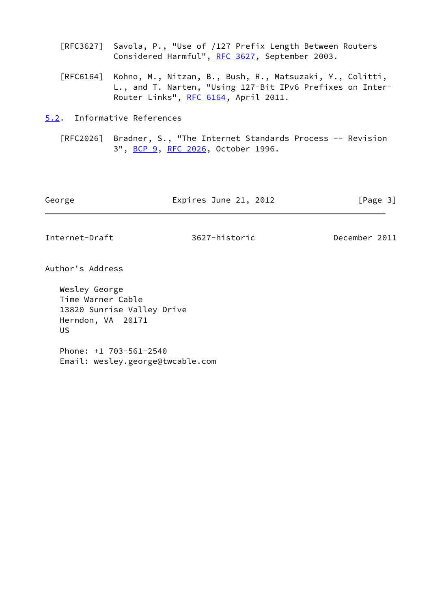- [RFC3627] Savola, P., "Use of /127 Prefix Length Between Routers Considered Harmful", [RFC 3627](https://datatracker.ietf.org/doc/pdf/rfc3627), September 2003.
- [RFC6164] Kohno, M., Nitzan, B., Bush, R., Matsuzaki, Y., Colitti, L., and T. Narten, "Using 127-Bit IPv6 Prefixes on Inter- Router Links", [RFC 6164](https://datatracker.ietf.org/doc/pdf/rfc6164), April 2011.

<span id="page-3-0"></span>[5.2](#page-3-0). Informative References

 [RFC2026] Bradner, S., "The Internet Standards Process -- Revision 3", [BCP 9,](https://datatracker.ietf.org/doc/pdf/bcp9) [RFC 2026](https://datatracker.ietf.org/doc/pdf/rfc2026), October 1996.

| George | Expires June 21, 2012 | [Page 3] |
|--------|-----------------------|----------|
|        |                       |          |

<span id="page-3-1"></span>Internet-Draft 3627-historic December 2011

Author's Address

 Wesley George Time Warner Cable 13820 Sunrise Valley Drive Herndon, VA 20171 US

 Phone: +1 703-561-2540 Email: wesley.george@twcable.com